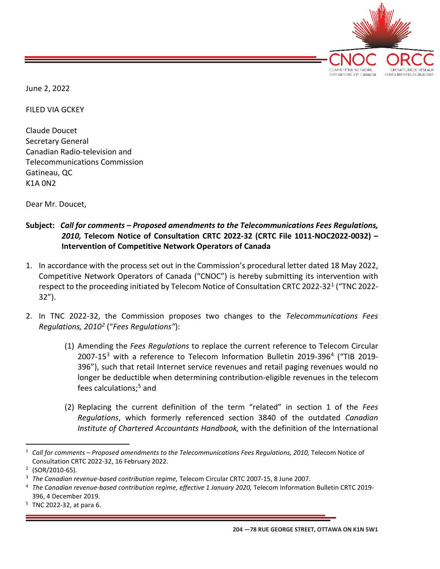

June 2, 2022

FILED VIA GCKEY

Claude Doucet Secretary General Canadian Radio-television and Telecommunications Commission Gatineau, QC K1A 0N2

Dear Mr. Doucet,

- **Subject:** *Call for comments – Proposed amendments to the Telecommunications Fees Regulations, 2010,* **Telecom Notice of Consultation CRTC 2022-32 (CRTC File 1011-NOC2022-0032) – Intervention of Competitive Network Operators of Canada**
- 1. In accordance with the process set out in the Commission's procedural letter dated 18 May 2022, Competitive Network Operators of Canada ("CNOC") is hereby submitting its intervention with respect to the proceeding initiated by Telecom Notice of Consultation CRTC 2022-32[1](#page-0-0) ("TNC 2022- 32").
- 2. In TNC 2022-32, the Commission proposes two changes to the *Telecommunications Fees Regulations, 2010[2](#page-0-1)* ("*Fees Regulations"*):
	- (1) Amending the *Fees Regulations* to replace the current reference to Telecom Circular 2007-15[3](#page-0-2) with a reference to Telecom Information Bulletin 2019-396[4](#page-0-3) ("TIB 2019- 396"), such that retail Internet service revenues and retail paging revenues would no longer be deductible when determining contribution-eligible revenues in the telecom fees calculations; [5](#page-0-4) and
	- (2) Replacing the current definition of the term "related" in section 1 of the *Fees Regulations*, which formerly referenced section 3840 of the outdated *Canadian Institute of Chartered Accountants Handbook,* with the definition of the International

<span id="page-0-0"></span><sup>&</sup>lt;sup>1</sup> Call for comments – Proposed amendments to the Telecommunications Fees Regulations, 2010, Telecom Notice of Consultation CRTC 2022-32, 16 February 2022. 2 (SOR/2010-65).

<span id="page-0-1"></span>

<span id="page-0-2"></span><sup>3</sup> *The Canadian revenue-based contribution regime,* Telecom Circular CRTC 2007-15, 8 June 2007.

<span id="page-0-3"></span><sup>4</sup> *The Canadian revenue-based contribution regime, effective 1 January 2020,* Telecom Information Bulletin CRTC 2019- 396, 4 December 2019.<br>TNC 2022-32, at para 6.

<span id="page-0-4"></span>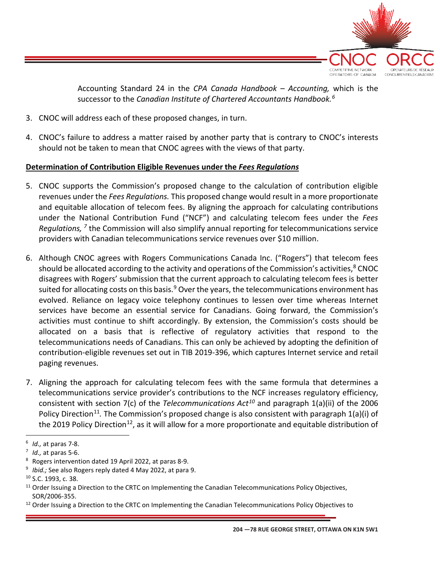

Accounting Standard 24 in the *CPA Canada Handbook – Accounting,* which is the successor to the *Canadian Institute of Chartered Accountants Handbook.[6](#page-1-0)*

- 3. CNOC will address each of these proposed changes, in turn.
- 4. CNOC's failure to address a matter raised by another party that is contrary to CNOC's interests should not be taken to mean that CNOC agrees with the views of that party.

## **Determination of Contribution Eligible Revenues under the** *Fees Regulations*

- 5. CNOC supports the Commission's proposed change to the calculation of contribution eligible revenues under the *Fees Regulations.* This proposed change would result in a more proportionate and equitable allocation of telecom fees. By aligning the approach for calculating contributions under the National Contribution Fund ("NCF") and calculating telecom fees under the *Fees Regulations, [7](#page-1-1)* the Commission will also simplify annual reporting for telecommunications service providers with Canadian telecommunications service revenues over \$10 million.
- 6. Although CNOC agrees with Rogers Communications Canada Inc. ("Rogers") that telecom fees should be allocated according to the activity and operations of the Commission's activities, $8$  CNOC disagrees with Rogers' submission that the current approach to calculating telecom fees is better suited for allocating costs on this basis. $9$  Over the years, the telecommunications environment has evolved. Reliance on legacy voice telephony continues to lessen over time whereas Internet services have become an essential service for Canadians. Going forward, the Commission's activities must continue to shift accordingly. By extension, the Commission's costs should be allocated on a basis that is reflective of regulatory activities that respond to the telecommunications needs of Canadians. This can only be achieved by adopting the definition of contribution-eligible revenues set out in TIB 2019-396, which captures Internet service and retail paging revenues.
- 7. Aligning the approach for calculating telecom fees with the same formula that determines a telecommunications service provider's contributions to the NCF increases regulatory efficiency, consistent with section 7(c) of the *Telecommunications Act[10](#page-1-4)* and paragraph 1(a)(ii) of the 2006 Policy Direction<sup>[11](#page-1-5)</sup>. The Commission's proposed change is also consistent with paragraph 1(a)(i) of the 2019 Policy Direction<sup>12</sup>, as it will allow for a more proportionate and equitable distribution of

<span id="page-1-1"></span>

<span id="page-1-3"></span><span id="page-1-2"></span>

<span id="page-1-0"></span><sup>6</sup> *Id.,* at paras 7-8. 7 *Id.,* at paras 5-6. 8 Rogers intervention dated 19 April 2022, at paras 8-9. 9 *Ibid.;* See also Rogers reply dated 4 May 2022, at para 9.

<span id="page-1-4"></span><sup>10</sup> S.C. 1993, c. 38.

<span id="page-1-5"></span> $11$  Order Issuing a Direction to the CRTC on Implementing the Canadian Telecommunications Policy Objectives,

<span id="page-1-6"></span>SOR/2006-355.<br><sup>12</sup> Order Issuing a Direction to the CRTC on Implementing the Canadian Telecommunications Policy Objectives to